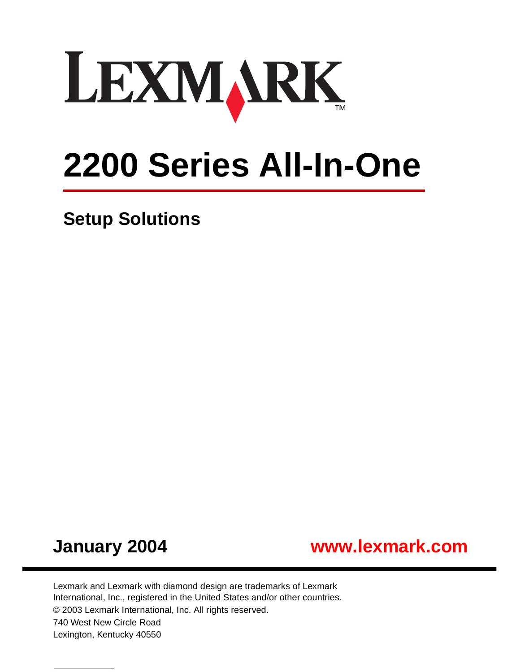

# **2200 Series All-In-One**

**Setup Solutions**





Lexmark and Lexmark with diamond design are trademarks of Lexmark International, Inc., registered in the United States and/or other countries. © 2003 Lexmark International, Inc. All rights reserved. 740 West New Circle Road Lexington, Kentucky 40550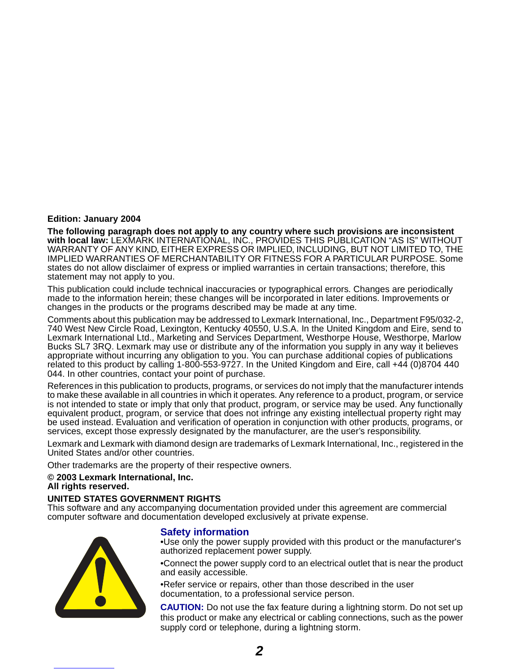#### **Edition: January 2004**

**The following paragraph does not apply to any country where such provisions are inconsistent with local law:** LEXMARK INTERNATIONAL, INC., PROVIDES THIS PUBLICATION "AS IS" WITHOUT WARRANTY OF ANY KIND, EITHER EXPRESS OR IMPLIED, INCLUDING, BUT NOT LIMITED TO, THE IMPLIED WARRANTIES OF MERCHANTABILITY OR FITNESS FOR A PARTICULAR PURPOSE. Some states do not allow disclaimer of express or implied warranties in certain transactions; therefore, this statement may not apply to you.

This publication could include technical inaccuracies or typographical errors. Changes are periodically made to the information herein; these changes will be incorporated in later editions. Improvements or changes in the products or the programs described may be made at any time.

Comments about this publication may be addressed to Lexmark International, Inc., Department F95/032-2, 740 West New Circle Road, Lexington, Kentucky 40550, U.S.A. In the United Kingdom and Eire, send to Lexmark International Ltd., Marketing and Services Department, Westhorpe House, Westhorpe, Marlow Bucks SL7 3RQ. Lexmark may use or distribute any of the information you supply in any way it believes appropriate without incurring any obligation to you. You can purchase additional copies of publications related to this product by calling 1-800-553-9727. In the United Kingdom and Eire, call +44 (0)8704 440 044. In other countries, contact your point of purchase.

References in this publication to products, programs, or services do not imply that the manufacturer intends to make these available in all countries in which it operates. Any reference to a product, program, or service is not intended to state or imply that only that product, program, or service may be used. Any functionally equivalent product, program, or service that does not infringe any existing intellectual property right may be used instead. Evaluation and verification of operation in conjunction with other products, programs, or services, except those expressly designated by the manufacturer, are the user's responsibility.

Lexmark and Lexmark with diamond design are trademarks of Lexmark International, Inc., registered in the United States and/or other countries.

Other trademarks are the property of their respective owners.

#### **© 2003 Lexmark International, Inc.**

#### **All rights reserved.**

#### **UNITED STATES GOVERNMENT RIGHTS**

This software and any accompanying documentation provided under this agreement are commercial computer software and documentation developed exclusively at private expense.



#### **Safety information**

•Use only the power supply provided with this product or the manufacturer's authorized replacement power supply.

•Connect the power supply cord to an electrical outlet that is near the product and easily accessible.

•Refer service or repairs, other than those described in the user documentation, to a professional service person.

**CAUTION:** Do not use the fax feature during a lightning storm. Do not set up this product or make any electrical or cabling connections, such as the power supply cord or telephone, during a lightning storm.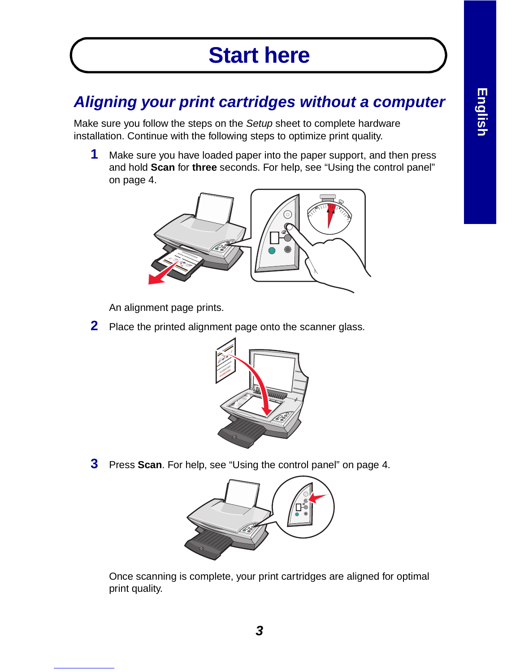## **Start here**

## **Aligning your print cartridges without a computer**

Make sure you follow the steps on the Setup sheet to complete hardware installation. Continue with the following steps to optimize print quality.

**1** Make sure you have loaded paper into the paper support, and then press and hold **Scan** for **three** seconds. For help, see "Using the control panel" on page 4.



An alignment page prints.

**2** Place the printed alignment page onto the scanner glass.



**3** Press **Scan**. For help, see "Using the control panel" on page 4.



Once scanning is complete, your print cartridges are aligned for optimal print quality.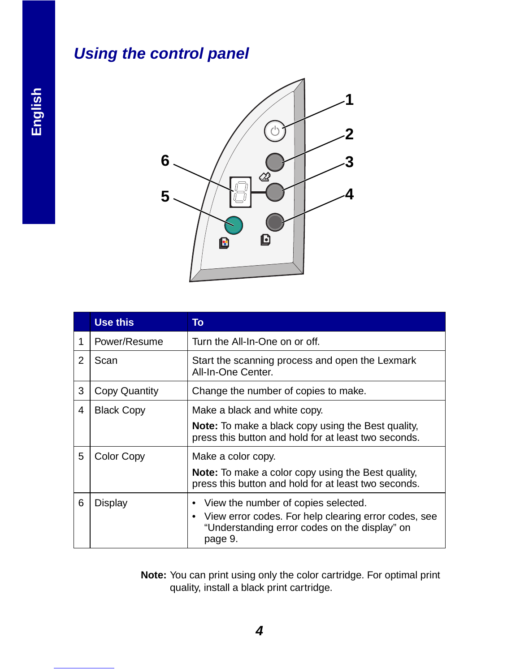## **Using the control panel**



|   | Use this             | To                                                                                                                            |
|---|----------------------|-------------------------------------------------------------------------------------------------------------------------------|
| 1 | Power/Resume         | Turn the All-In-One on or off.                                                                                                |
| 2 | Scan                 | Start the scanning process and open the Lexmark<br>All-In-One Center.                                                         |
| 3 | <b>Copy Quantity</b> | Change the number of copies to make.                                                                                          |
| 4 | <b>Black Copy</b>    | Make a black and white copy.                                                                                                  |
|   |                      | <b>Note:</b> To make a black copy using the Best quality,<br>press this button and hold for at least two seconds.             |
| 5 | <b>Color Copy</b>    | Make a color copy.                                                                                                            |
|   |                      | <b>Note:</b> To make a color copy using the Best quality,<br>press this button and hold for at least two seconds.             |
| 6 | <b>Display</b>       | View the number of copies selected.                                                                                           |
|   |                      | View error codes. For help clearing error codes, see<br>$\bullet$<br>"Understanding error codes on the display" on<br>page 9. |

**Note:** You can print using only the color cartridge. For optimal print quality, install a black print cartridge.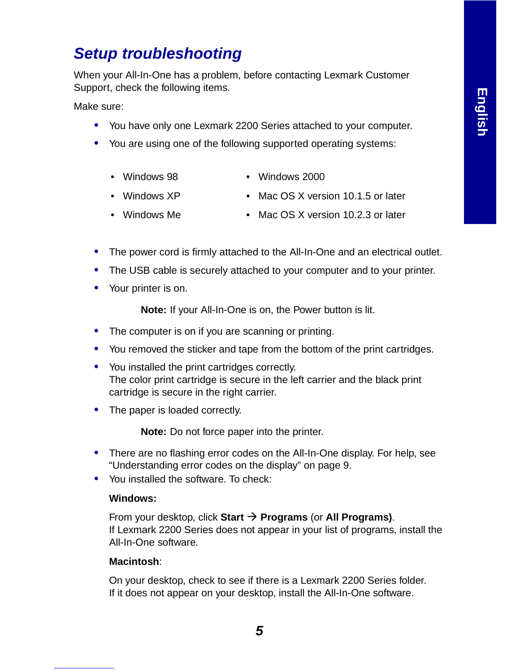## **Setup troubleshooting**

When your All-In-One has a problem, before contacting Lexmark Customer Support, check the following items.

Make sure:

- **•** You have only one Lexmark 2200 Series attached to your computer.
- **•** You are using one of the following supported operating systems:
	- Windows 98 Windows 2000
	- Windows XP Mac OS X version 10.1.5 or later
	- Windows Me Mac OS X version 10.2.3 or later
- **•** The power cord is firmly attached to the All-In-One and an electrical outlet.
- **•** The USB cable is securely attached to your computer and to your printer.
- **•** Your printer is on.

**Note:** If your All-In-One is on, the Power button is lit.

- **•** The computer is on if you are scanning or printing.
- **•** You removed the sticker and tape from the bottom of the print cartridges.
- **•** You installed the print cartridges correctly. The color print cartridge is secure in the left carrier and the black print cartridge is secure in the right carrier.
- **•** The paper is loaded correctly.

**Note:** Do not force paper into the printer.

- **•** There are no flashing error codes on the All-In-One display. For help, see "Understanding error codes on the display" on page 9.
- **•** You installed the software. To check:

#### **Windows:**

From your desktop, click **Start**  $\rightarrow$  **Programs** (or **All Programs**). If Lexmark 2200 Series does not appear in your list of programs, install the All-In-One software.

#### **Macintosh**:

On your desktop, check to see if there is a Lexmark 2200 Series folder. If it does not appear on your desktop, install the All-In-One software.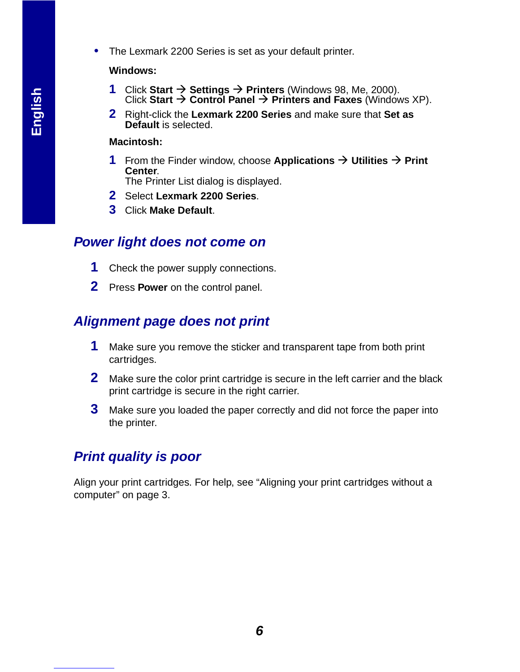**•** The Lexmark 2200 Series is set as your default printer.

#### **Windows:**

- **1** Click Start  $\rightarrow$  Settings  $\rightarrow$  Printers (Windows 98, Me, 2000). Click Start  $\rightarrow$  Control Panel  $\rightarrow$  Printers and Faxes (Windows XP).
- **2** Right-click the **Lexmark 2200 Series** and make sure that **Set as Default** is selected.

#### **Macintosh:**

- **1** From the Finder window, choose Applications  $\rightarrow$  Utilities  $\rightarrow$  Print **Center**.
	- The Printer List dialog is displayed.
- **2** Select **Lexmark 2200 Series**.
- **3** Click **Make Default**.

### **Power light does not come on**

- **1** Check the power supply connections.
- **2** Press **Power** on the control panel.

## **Alignment page does not print**

- **1** Make sure you remove the sticker and transparent tape from both print cartridges.
- **2** Make sure the color print cartridge is secure in the left carrier and the black print cartridge is secure in the right carrier.
- **3** Make sure you loaded the paper correctly and did not force the paper into the printer.

## **Print quality is poor**

Align your print cartridges. For help, see "Aligning your print cartridges without a computer" on page 3.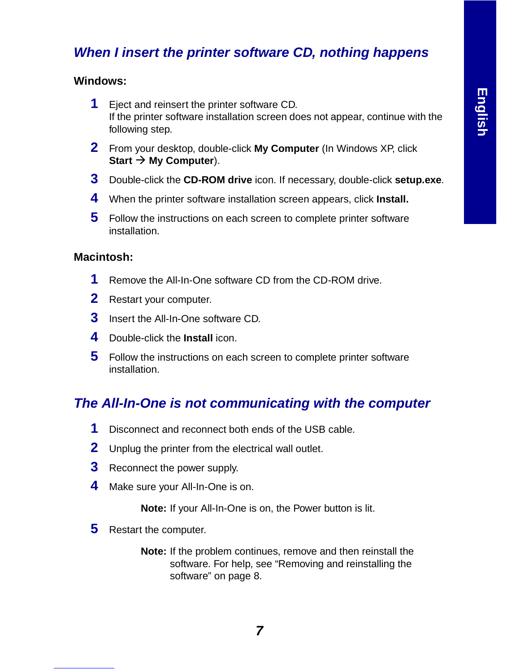## **When I insert the printer software CD, nothing happens**

#### **Windows:**

- **1** Eject and reinsert the printer software CD. If the printer software installation screen does not appear, continue with the following step.
- **2** From your desktop, double-click **My Computer** (In Windows XP, click Start  $\rightarrow$  My Computer).
- **3** Double-click the **CD-ROM drive** icon. If necessary, double-click **setup.exe**.
- **4** When the printer software installation screen appears, click **Install.**
- **5** Follow the instructions on each screen to complete printer software installation.

#### **Macintosh:**

- **1** Remove the All-In-One software CD from the CD-ROM drive.
- **2** Restart your computer.
- **3** Insert the All-In-One software CD.
- **4** Double-click the **Install** icon.
- **5** Follow the instructions on each screen to complete printer software installation.

## **The All-In-One is not communicating with the computer**

- **1** Disconnect and reconnect both ends of the USB cable.
- **2** Unplug the printer from the electrical wall outlet.
- **3** Reconnect the power supply.
- **4** Make sure your All-In-One is on.

**Note:** If your All-In-One is on, the Power button is lit.

**5** Restart the computer.

**Note:** If the problem continues, remove and then reinstall the software. For help, see "Removing and reinstalling the software" on page 8.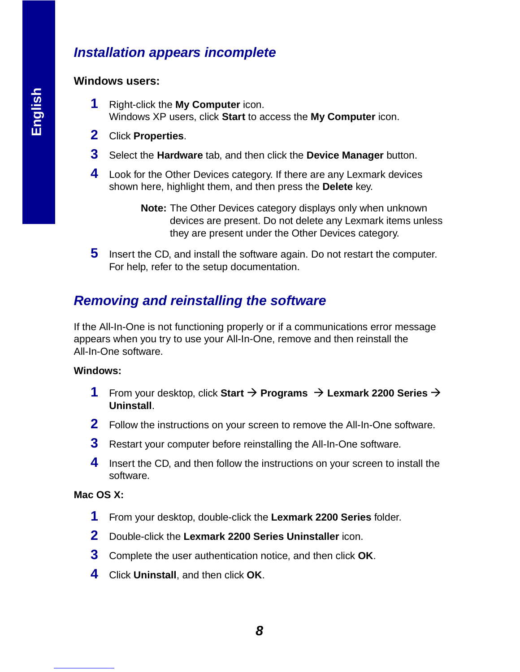## **Installation appears incomplete**

#### **Windows users:**

- **1** Right-click the **My Computer** icon. Windows XP users, click **Start** to access the **My Computer** icon.
- **2** Click **Properties**.
- **3** Select the **Hardware** tab, and then click the **Device Manager** button.
- **4** Look for the Other Devices category. If there are any Lexmark devices shown here, highlight them, and then press the **Delete** key.

**Note:** The Other Devices category displays only when unknown devices are present. Do not delete any Lexmark items unless they are present under the Other Devices category.

**5** Insert the CD, and install the software again. Do not restart the computer. For help, refer to the setup documentation.

## **Removing and reinstalling the software**

If the All-In-One is not functioning properly or if a communications error message appears when you try to use your All-In-One, remove and then reinstall the All-In-One software.

#### **Windows:**

- **1** From your desktop, click Start  $\rightarrow$  Programs  $\rightarrow$  Lexmark 2200 Series  $\rightarrow$ **Uninstall**.
- **2** Follow the instructions on your screen to remove the All-In-One software.
- **3** Restart your computer before reinstalling the All-In-One software.
- **4** Insert the CD, and then follow the instructions on your screen to install the software.

#### **Mac OS X:**

- **1** From your desktop, double-click the **Lexmark 2200 Series** folder.
- **2** Double-click the **Lexmark 2200 Series Uninstaller** icon.
- **3** Complete the user authentication notice, and then click **OK**.
- **4** Click **Uninstall**, and then click **OK**.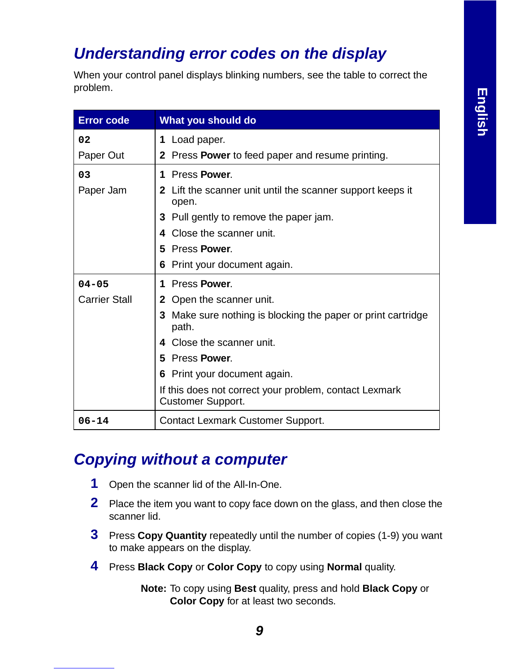## **Understanding error codes on the display**

When your control panel displays blinking numbers, see the table to correct the problem.

| <b>Error code</b>    | What you should do                                                                 |  |
|----------------------|------------------------------------------------------------------------------------|--|
| 02                   | 1 Load paper.                                                                      |  |
| Paper Out            | Press <b>Power</b> to feed paper and resume printing.<br>$\mathbf{2}$              |  |
| 03                   | Press Power.<br>1                                                                  |  |
| Paper Jam            | Lift the scanner unit until the scanner support keeps it<br>2<br>open.             |  |
|                      | Pull gently to remove the paper jam.<br>3.                                         |  |
|                      | Close the scanner unit.                                                            |  |
|                      | 5 Press Power.                                                                     |  |
|                      | Print your document again.<br>6                                                    |  |
| $04 - 05$            | Press Power.<br>1                                                                  |  |
| <b>Carrier Stall</b> | Open the scanner unit.<br>$\mathbf{2}$                                             |  |
|                      | 3 Make sure nothing is blocking the paper or print cartridge<br>path.              |  |
|                      | Close the scanner unit.<br>4                                                       |  |
|                      | 5 Press Power.                                                                     |  |
|                      | 6 Print your document again.                                                       |  |
|                      | If this does not correct your problem, contact Lexmark<br><b>Customer Support.</b> |  |
| $06 - 14$            | <b>Contact Lexmark Customer Support.</b>                                           |  |

## **Copying without a computer**

- **1** Open the scanner lid of the All-In-One.
- **2** Place the item you want to copy face down on the glass, and then close the scanner lid.
- **3** Press **Copy Quantity** repeatedly until the number of copies (1-9) you want to make appears on the display.
- **4** Press **Black Copy** or **Color Copy** to copy using **Normal** quality.

**Note:** To copy using **Best** quality, press and hold **Black Copy** or **Color Copy** for at least two seconds.